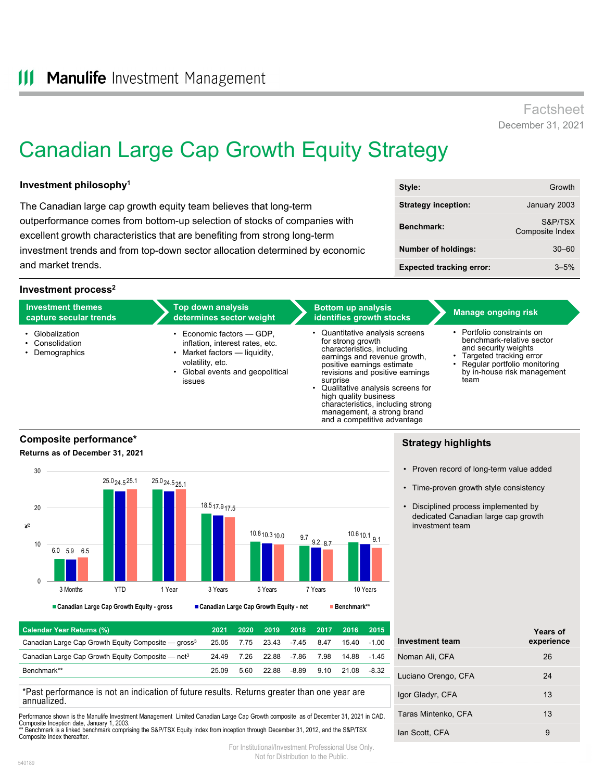## Factsheet December 31, 2021

# Canadian Large Cap Growth Equity Strategy

#### **Investment philosophy1**

The Canadian large cap growth equity team believes that long-term outperformance comes from bottom-up selection of stocks of companies with excellent growth characteristics that are benefiting from strong long-term investment trends and from top-down sector allocation determined by economic and market trends.

#### **Investment process2**



### **Composite performance\***

#### **Returns as of December 31, 2021**



| <b>Calendar Year Returns (%)</b>                                  | 2021  |      | 2020 2019 2018              |       | 2017 | 2016  | - 2015  |
|-------------------------------------------------------------------|-------|------|-----------------------------|-------|------|-------|---------|
| Canadian Large Cap Growth Equity Composite $-$ gross <sup>3</sup> |       |      | 25.05 7.75 23.43 -7.45 8.47 |       |      | 15.40 | $-1.00$ |
| Canadian Large Cap Growth Equity Composite $-$ net <sup>3</sup>   | 24.49 |      | 7.26 22.88 -7.86            |       | 7.98 | 14 88 | $-145$  |
| Benchmark**                                                       | 25.09 | 5.60 | 22.88                       | -8.89 | 9.10 | 21.08 | $-8.32$ |

\*Past performance is not an indication of future results. Returns greater than one year are annualized.

Performance shown is the Manulife Investment Management Limited Canadian Large Cap Growth composite as of December 31, 2021 in CAD. Composite Inception date, January 1, 2003. \*\* Benchmark is a linked benchmark comprising the S&P/TSX Equity Index from inception through December 31, 2012, and the S&P/TSX Composite Index thereafter.

**Strategy highlights**

- Proven record of long-term value added
- Time-proven growth style consistency
- Disciplined process implemented by dedicated Canadian large cap growth investment team

| <b>Investment team</b> | <b>Years of</b><br>experience |
|------------------------|-------------------------------|
| Noman Ali, CFA         | 26                            |
| Luciano Orengo, CFA    | 24                            |
| Igor Gladyr, CFA       | 13                            |
| Taras Mintenko, CFA    | 13                            |
| lan Scott. CFA         |                               |

| Style:                          | Growth                     |  |
|---------------------------------|----------------------------|--|
| <b>Strategy inception:</b>      | January 2003               |  |
| Benchmark:                      | S&P/TSX<br>Composite Index |  |
| <b>Number of holdings:</b>      | $30 - 60$                  |  |
| <b>Expected tracking error:</b> | $3 - 5%$                   |  |